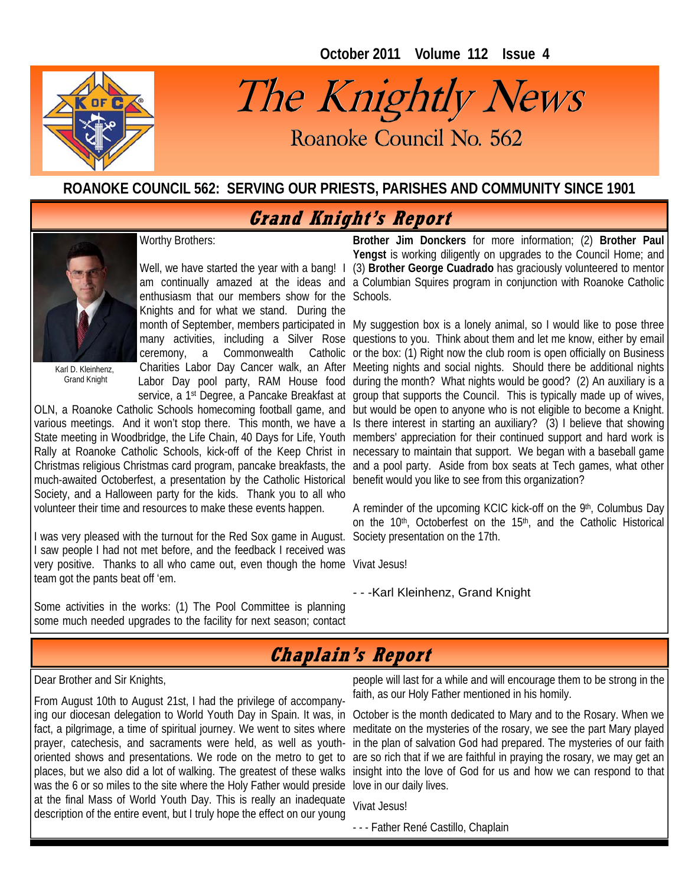**October 2011 Volume 112 Issue 4** 



# The Knightly News

Roanoke Council No. 562

#### **ROANOKE COUNCIL 562: SERVING OUR PRIESTS, PARISHES AND COMMUNITY SINCE 1901**

#### **Grand Knight's Report**



Grand Knight

Worthy Brothers:

enthusiasm that our members show for the Schools. Knights and for what we stand. During the Labor Day pool party, RAM House food service, a 1st Degree, a Pancake Breakfast at

various meetings. And it won't stop there. This month, we have a State meeting in Woodbridge, the Life Chain, 40 Days for Life, Youth Christmas religious Christmas card program, pancake breakfasts, the much-awaited Octoberfest, a presentation by the Catholic Historical Society, and a Halloween party for the kids. Thank you to all who volunteer their time and resources to make these events happen.

I was very pleased with the turnout for the Red Sox game in August. Society presentation on the 17th. I saw people I had not met before, and the feedback I received was very positive. Thanks to all who came out, even though the home Vivat Jesus! team got the pants beat off 'em.

Some activities in the works: (1) The Pool Committee is planning some much needed upgrades to the facility for next season; contact

Well, we have started the year with a bang! 1 (3) **Brother George Cuadrado** has graciously volunteered to mentor am continually amazed at the ideas and a Columbian Squires program in conjunction with Roanoke Catholic **Brother Jim Donckers** for more information; (2) **Brother Paul Yengst** is working diligently on upgrades to the Council Home; and

month of September, members participated in My suggestion box is a lonely animal, so I would like to pose three many activities, including a Silver Rose questions to you. Think about them and let me know, either by email ceremony, a Commonwealth Catholic or the box: (1) Right now the club room is open officially on Business Charities Labor Day Cancer walk, an After Meeting nights and social nights. Should there be additional nights OLN, a Roanoke Catholic Schools homecoming football game, and but would be open to anyone who is not eligible to become a Knight. Rally at Roanoke Catholic Schools, kick-off of the Keep Christ in necessary to maintain that support. We began with a baseball game during the month? What nights would be good? (2) An auxiliary is a group that supports the Council. This is typically made up of wives, Is there interest in starting an auxiliary? (3) I believe that showing members' appreciation for their continued support and hard work is and a pool party. Aside from box seats at Tech games, what other benefit would you like to see from this organization?

> A reminder of the upcoming KCIC kick-off on the 9<sup>th</sup>, Columbus Day on the 10th, Octoberfest on the 15th, and the Catholic Historical

- - -Karl Kleinhenz, Grand Knight

## **Chaplain's Report**

Dear Brother and Sir Knights,

From August 10th to August 21st, I had the privilege of accompanying our diocesan delegation to World Youth Day in Spain. It was, in fact, a pilgrimage, a time of spiritual journey. We went to sites where prayer, catechesis, and sacraments were held, as well as youthoriented shows and presentations. We rode on the metro to get to places, but we also did a lot of walking. The greatest of these walks was the 6 or so miles to the site where the Holy Father would preside love in our daily lives. at the final Mass of World Youth Day. This is really an inadequate description of the entire event, but I truly hope the effect on our young

people will last for a while and will encourage them to be strong in the faith, as our Holy Father mentioned in his homily.

October is the month dedicated to Mary and to the Rosary. When we meditate on the mysteries of the rosary, we see the part Mary played in the plan of salvation God had prepared. The mysteries of our faith are so rich that if we are faithful in praying the rosary, we may get an insight into the love of God for us and how we can respond to that

Vivat Jesus!

- - - Father René Castillo, Chaplain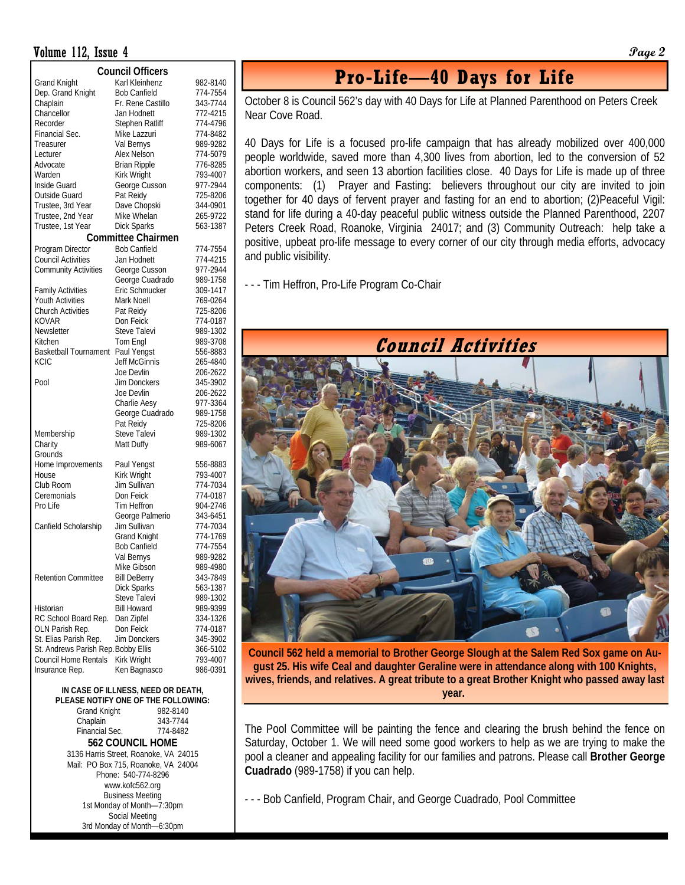#### Volume 112, Issue 4 **Page 2**

| <b>Council Officers</b>                  |                           |                      |  |  |  |  |  |  |
|------------------------------------------|---------------------------|----------------------|--|--|--|--|--|--|
| <b>Grand Knight</b>                      | Karl Kleinhenz            | 982-8140             |  |  |  |  |  |  |
| Dep. Grand Knight                        | <b>Bob Canfield</b>       | 774-7554             |  |  |  |  |  |  |
| Chaplain                                 | Fr. Rene Castillo         | 343-7744             |  |  |  |  |  |  |
| Chancellor                               | Jan Hodnett               | 772-4215             |  |  |  |  |  |  |
| Recorder                                 | Stephen Ratliff           | 774-4796             |  |  |  |  |  |  |
| Financial Sec.                           | Mike Lazzuri              | 774-8482             |  |  |  |  |  |  |
| Treasurer                                | Val Bernys                | 989-9282             |  |  |  |  |  |  |
| Lecturer                                 | Alex Nelson               | 774-5079             |  |  |  |  |  |  |
| Advocate                                 | <b>Brian Ripple</b>       | 776-8285             |  |  |  |  |  |  |
| Warden                                   | Kirk Wright               | 793-4007             |  |  |  |  |  |  |
| Inside Guard                             | George Cusson             | 977-2944             |  |  |  |  |  |  |
| Outside Guard                            | Pat Reidy                 | 725-8206             |  |  |  |  |  |  |
| Trustee, 3rd Year                        | Dave Chopski              | 344-0901             |  |  |  |  |  |  |
| Trustee, 2nd Year                        | Mike Whelan               | 265-9722             |  |  |  |  |  |  |
| Trustee, 1st Year                        | Dick Sparks               | 563-1387             |  |  |  |  |  |  |
|                                          | <b>Committee Chairmen</b> |                      |  |  |  |  |  |  |
| Program Director                         | <b>Bob Canfield</b>       | 774-7554             |  |  |  |  |  |  |
| <b>Council Activities</b>                | Jan Hodnett               | 774-4215             |  |  |  |  |  |  |
| <b>Community Activities</b>              | George Cusson             | 977-2944             |  |  |  |  |  |  |
|                                          | George Cuadrado           | 989-1758             |  |  |  |  |  |  |
| <b>Family Activities</b>                 | Eric Schmucker            | 309-1417             |  |  |  |  |  |  |
| <b>Youth Activities</b>                  | Mark Noell                | 769-0264             |  |  |  |  |  |  |
| <b>Church Activities</b>                 | Pat Reidy                 | 725-8206             |  |  |  |  |  |  |
| KOVAR                                    | Don Feick                 | 774-0187             |  |  |  |  |  |  |
| Newsletter                               | Steve Talevi              | 989-1302             |  |  |  |  |  |  |
| Kitchen                                  | Tom Engl                  | 989-3708             |  |  |  |  |  |  |
| <b>Basketball Tournament</b>             | Paul Yengst               | 556-8883             |  |  |  |  |  |  |
| <b>KCIC</b>                              | <b>Jeff McGinnis</b>      | 265-4840             |  |  |  |  |  |  |
|                                          | Joe Devlin                | 206-2622             |  |  |  |  |  |  |
| Pool                                     | Jim Donckers              | 345-3902             |  |  |  |  |  |  |
|                                          | Joe Devlin                | 206-2622             |  |  |  |  |  |  |
|                                          | Charlie Aesy              | 977-3364             |  |  |  |  |  |  |
|                                          | George Cuadrado           | 989-1758             |  |  |  |  |  |  |
|                                          | Pat Reidy                 | 725-8206             |  |  |  |  |  |  |
| Membership                               | Steve Talevi              | 989-1302             |  |  |  |  |  |  |
| Charity                                  | Matt Duffy                | 989-6067             |  |  |  |  |  |  |
| Grounds                                  |                           |                      |  |  |  |  |  |  |
| Home Improvements                        | Paul Yengst               | 556-8883             |  |  |  |  |  |  |
| House                                    | Kirk Wright               | 793-4007             |  |  |  |  |  |  |
| Club Room                                | Jim Sullivan              | 774-7034             |  |  |  |  |  |  |
| Ceremonials                              | Don Feick                 | 774-0187             |  |  |  |  |  |  |
| Pro Life                                 | Tim Heffron               | 904-2746             |  |  |  |  |  |  |
|                                          | George Palmerio           | 343-6451             |  |  |  |  |  |  |
| Canfield Scholarship                     | Jim Sullivan              | 774-7034             |  |  |  |  |  |  |
|                                          | <b>Grand Knight</b>       | 774-1769             |  |  |  |  |  |  |
|                                          | <b>Bob Canfield</b>       | 774-7554             |  |  |  |  |  |  |
|                                          |                           | 989-9282             |  |  |  |  |  |  |
|                                          | Val Bernys<br>Mike Gibson | 989-4980             |  |  |  |  |  |  |
| <b>Retention Committee</b>               | <b>Bill DeBerry</b>       | 343-7849             |  |  |  |  |  |  |
|                                          | Dick Sparks               | 563-1387             |  |  |  |  |  |  |
|                                          | Steve Talevi              |                      |  |  |  |  |  |  |
| Historian                                | <b>Bill Howard</b>        | 989-1302<br>989-9399 |  |  |  |  |  |  |
| RC School Board Rep.                     |                           | 334-1326             |  |  |  |  |  |  |
|                                          | Dan Zipfel<br>Don Feick   |                      |  |  |  |  |  |  |
| OLN Parish Rep.<br>St. Elias Parish Rep. | Jim Donckers              | 774-0187<br>345-3902 |  |  |  |  |  |  |
| St. Andrews Parish Rep. Bobby Ellis      |                           |                      |  |  |  |  |  |  |
| <b>Council Home Rentals</b>              | Kirk Wright               | 366-5102             |  |  |  |  |  |  |
|                                          |                           | 793-4007             |  |  |  |  |  |  |
| Insurance Rep.                           | Ken Bagnasco              | 986-0391             |  |  |  |  |  |  |

#### **IN CASE OF ILLNESS, NEED OR DEATH, PLEASE NOTIFY ONE OF THE FOLLOWING:**

| <b>Grand Knight</b>                   | 982-8140 |  |  |  |  |  |
|---------------------------------------|----------|--|--|--|--|--|
| Chaplain                              | 343-7744 |  |  |  |  |  |
| Financial Sec.<br>774-8482            |          |  |  |  |  |  |
| <b>562 COUNCIL HOME</b>               |          |  |  |  |  |  |
| 3136 Harris Street, Roanoke, VA 24015 |          |  |  |  |  |  |
| Mail: PO Box 715, Roanoke, VA 24004   |          |  |  |  |  |  |
| Phone: 540-774-8296                   |          |  |  |  |  |  |
|                                       |          |  |  |  |  |  |

www.kofc562.org Business Meeting 1st Monday of Month—7:30pm Social Meeting 3rd Monday of Month—6:30pm

#### **Pro-Life—40 Days for Life**

October 8 is Council 562's day with 40 Days for Life at Planned Parenthood on Peters Creek Near Cove Road.

40 Days for Life is a focused pro-life campaign that has already mobilized over 400,000 people worldwide, saved more than 4,300 lives from abortion, led to the conversion of 52 abortion workers, and seen 13 abortion facilities close. 40 Days for Life is made up of three components: (1)Prayer and Fasting: believers throughout our city are invited to join together for 40 days of fervent prayer and fasting for an end to abortion; (2)Peaceful Vigil: stand for life during a 40-day peaceful public witness outside the Planned Parenthood, 2207 Peters Creek Road, Roanoke, Virginia 24017; and (3) Community Outreach: help take a positive, upbeat pro-life message to every corner of our city through media efforts, advocacy and public visibility.

- - - Tim Heffron, Pro-Life Program Co-Chair



**Council 562 held a memorial to Brother George Slough at the Salem Red Sox game on August 25. His wife Ceal and daughter Geraline were in attendance along with 100 Knights, wives, friends, and relatives. A great tribute to a great Brother Knight who passed away last year.** 

The Pool Committee will be painting the fence and clearing the brush behind the fence on Saturday, October 1. We will need some good workers to help as we are trying to make the pool a cleaner and appealing facility for our families and patrons. Please call **Brother George Cuadrado** (989-1758) if you can help.

- - - Bob Canfield, Program Chair, and George Cuadrado, Pool Committee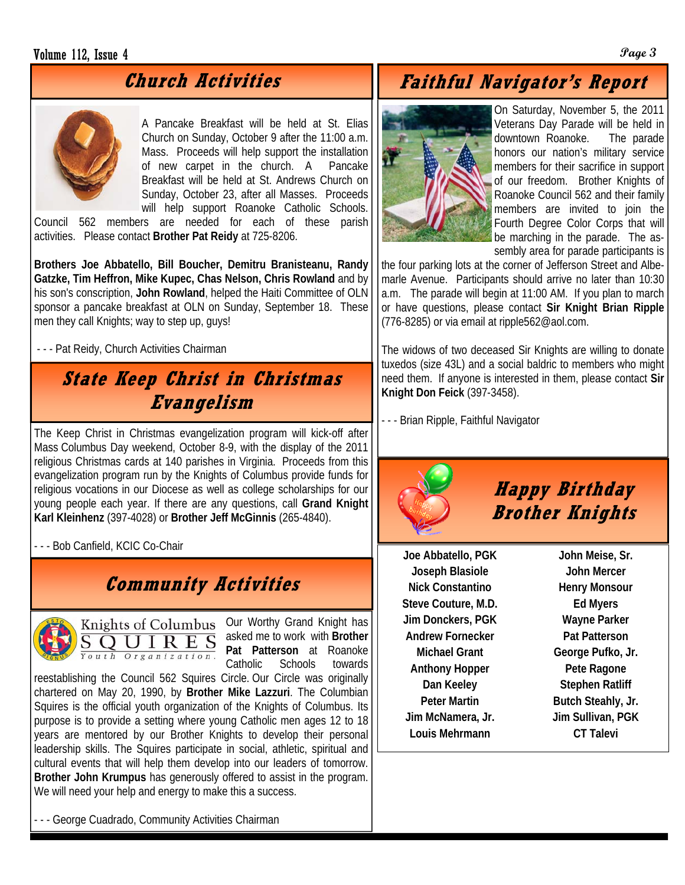#### Volume 112, Issue 4 **Page 3**

## **Church Activities**



A Pancake Breakfast will be held at St. Elias Church on Sunday, October 9 after the 11:00 a.m. Mass. Proceeds will help support the installation of new carpet in the church. A Pancake Breakfast will be held at St. Andrews Church on Sunday, October 23, after all Masses. Proceeds will help support Roanoke Catholic Schools.

Council 562 members are needed for each of these parish activities. Please contact **Brother Pat Reidy** at 725-8206.

**Brothers Joe Abbatello, Bill Boucher, Demitru Branisteanu, Randy Gatzke, Tim Heffron, Mike Kupec, Chas Nelson, Chris Rowland** and by his son's conscription, **John Rowland**, helped the Haiti Committee of OLN sponsor a pancake breakfast at OLN on Sunday, September 18. These men they call Knights; way to step up, guys!

- - - Pat Reidy, Church Activities Chairman

## **State Keep Christ in Christmas Evangelism**

The Keep Christ in Christmas evangelization program will kick-off after Mass Columbus Day weekend, October 8-9, with the display of the 2011 religious Christmas cards at 140 parishes in Virginia. Proceeds from this evangelization program run by the Knights of Columbus provide funds for religious vocations in our Diocese as well as college scholarships for our young people each year. If there are any questions, call **Grand Knight Karl Kleinhenz** (397-4028) or **Brother Jeff McGinnis** (265-4840).

- - - Bob Canfield, KCIC Co-Chair

## **Community Activities**



Knights of Columbus  $O$ rganization.

Our Worthy Grand Knight has asked me to work with **Brother Pat Patterson** at Roanoke Catholic Schools towards

reestablishing the Council 562 Squires Circle. Our Circle was originally chartered on May 20, 1990, by **Brother Mike Lazzuri**. The Columbian Squires is the official youth organization of the Knights of Columbus. Its purpose is to provide a setting where young Catholic men ages 12 to 18 years are mentored by our Brother Knights to develop their personal leadership skills. The Squires participate in social, athletic, spiritual and cultural events that will help them develop into our leaders of tomorrow. **Brother John Krumpus** has generously offered to assist in the program. We will need your help and energy to make this a success.

**Faithful Navigator's Report** 



On Saturday, November 5, the 2011 Veterans Day Parade will be held in downtown Roanoke. The parade honors our nation's military service members for their sacrifice in support of our freedom. Brother Knights of Roanoke Council 562 and their family members are invited to join the Fourth Degree Color Corps that will be marching in the parade. The assembly area for parade participants is

the four parking lots at the corner of Jefferson Street and Albemarle Avenue. Participants should arrive no later than 10:30 a.m. The parade will begin at 11:00 AM. If you plan to march or have questions, please contact **Sir Knight Brian Ripple** (776-8285) or via email at ripple562@aol.com.

The widows of two deceased Sir Knights are willing to donate tuxedos (size 43L) and a social baldric to members who might need them. If anyone is interested in them, please contact **Sir Knight Don Feick** (397-3458).

- - - Brian Ripple, Faithful Navigator



**Happy Birthday Brother Knights** 

**Joe Abbatello, PGK Joseph Blasiole Nick Constantino Steve Couture, M.D. Jim Donckers, PGK Andrew Fornecker Michael Grant Anthony Hopper Dan Keeley Peter Martin Jim McNamera, Jr. Louis Mehrmann** 

**John Meise, Sr. John Mercer Henry Monsour Ed Myers Wayne Parker Pat Patterson George Pufko, Jr. Pete Ragone Stephen Ratliff Butch Steahly, Jr. Jim Sullivan, PGK CT Talevi** 

- - - George Cuadrado, Community Activities Chairman